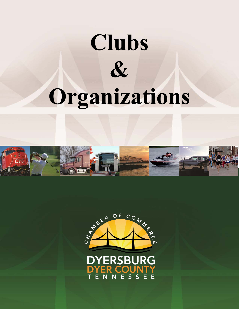## **Clubs & Organizations**



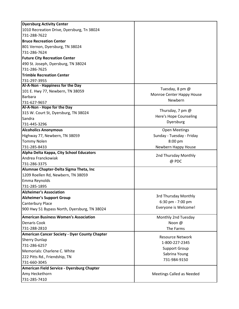| <b>Dyersburg Activity Center</b>                     |                                           |
|------------------------------------------------------|-------------------------------------------|
| 1010 Recreation Drive, Dyersburg, Tn 38024           |                                           |
| 731-288-7622                                         |                                           |
| <b>Bruce Recreation Center</b>                       |                                           |
| 801 Vernon, Dyersburg, TN 38024                      |                                           |
| 731-286-7624                                         |                                           |
| <b>Future City Recreation Center</b>                 |                                           |
| 490 St. Joseph, Dyersburg, TN 38024                  |                                           |
| 731-286-7625                                         |                                           |
| <b>Trimble Recreation Center</b>                     |                                           |
| 731-297-3955                                         |                                           |
| Al-A-Non - Happiness for the Day                     | Tuesday, 8 pm @                           |
| 101 E. Hwy 77, Newbern, TN 38059                     | Monroe Center Happy House                 |
| <b>Barbara</b>                                       | Newbern                                   |
| 731-627-9657                                         |                                           |
| Al-A-Non - Hope for the Day                          | Thursday, 7 pm $@$                        |
| 315 W. Court St, Dyersburg, TN 38024                 | Here's Hope Counseling                    |
| Sandra                                               | Dyersburg                                 |
| 731-445-3296                                         |                                           |
| <b>Alcoholics Anonymous</b>                          | <b>Open Meetings</b>                      |
| Highway 77, Newbern, TN 38059                        | Sunday - Tuesday - Friday                 |
| <b>Tommy Nolen</b>                                   | 8:00 pm                                   |
| 731-285-8433                                         | Newbern Happy House                       |
| Alpha Delta Kappa, City School Educators             | 2nd Thursday Monthly                      |
| Andrea Franckowiak                                   | @ PDC                                     |
| 731-286-3375                                         |                                           |
| Alumnae Chapter-Delta Sigma Theta, Inc               |                                           |
| 1209 Roellen Rd, Newbern, TN 38059                   |                                           |
| Emma Reynolds                                        |                                           |
| 731-285-1895                                         |                                           |
| <b>Alzheimer's Association</b>                       | 3rd Thursday Monthly                      |
| <b>Alzheimer's Support Group</b>                     | 6:30 pm - 7:00 pm                         |
| Canterbury Place                                     | Everyone is Welcome!                      |
| 900 Hwy 51 Bypass North, Dyersburg, TN 38024         |                                           |
| <b>American Business Women's Association</b>         | Monthly 2nd Tuesday                       |
| <b>Denaris Cook</b>                                  | Noon @                                    |
| 731-288-2810                                         | The Farms                                 |
| <b>American Cancer Society - Dyer County Chapter</b> |                                           |
| <b>Sherry Dunlap</b>                                 | <b>Resource Network</b><br>1-800-227-2345 |
| 731-286-6257                                         |                                           |
| Memorials: Charlene C. White                         | <b>Support Group</b>                      |
| 222 Pitts Rd., Friendship, TN                        | Sabrina Young                             |
| 731-660-3045                                         | 731-984-9150                              |
| American Field Service - Dyersburg Chapter           |                                           |
| Amy Heckethorn                                       | Meetings Called as Needed                 |
| 731-285-7410                                         |                                           |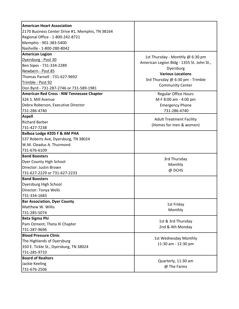| <b>American Heart Association</b>                |                                           |
|--------------------------------------------------|-------------------------------------------|
| 2170 Business Center Drive #1, Memphis, TN 38164 |                                           |
| Regional Office - 1-800-242-8721                 |                                           |
| Memphis - 901-383-5400                           |                                           |
| Nashville - 1-800-280-8042                       |                                           |
| <b>American Legion</b>                           |                                           |
| Dyersburg - Post 30                              | 1st Thursday - Monthly @ 6:30 pm          |
| Ben Sipes - 731-334-2289                         | American Legion Bldg - 1355 St. John St., |
| Newbern - Post 85                                | Dyersburg<br><b>Various Locations</b>     |
| <b>Thomas Parnell - 731-627-9692</b>             |                                           |
| Trimble - Post 92                                | 3rd Thursday @ 6:30 pm - Trimble          |
| Don Byrd - 731-287-2746 or 731-589-1981          | <b>Community Center</b>                   |
| American Red Cross - NW Tennessee Chapter        | <b>Regular Office Hours</b>               |
| 326 S. Mill Avenue                               | M-F 8:00 am - 4:00 pm                     |
| Debra Roberson, Executive Director               | <b>Emergency Phone</b>                    |
| 731-286-4740                                     | 731-286-4740                              |
| <b>Aspell</b>                                    | <b>Adult Treatment Facility</b>           |
| <b>Richard Barber</b>                            | (Homes for men & women)                   |
| 731-427-7238                                     |                                           |
| Balboa Lodge #205 F & AM PHA                     |                                           |
| 537 Roberts Ave, Dyersburg, TN 38024             |                                           |
| W.M. Cleadus A. Thurmond                         |                                           |
| 731-676-6109                                     |                                           |
| <b>Band Boosters</b>                             | 3rd Thursday                              |
| Dyer County High School                          | Monthly                                   |
| Director: Justin Brown                           | @ DCHS                                    |
| 731-627-2229 or 731-627-2233                     |                                           |
| <b>Band Boosters</b>                             |                                           |
| Dyersburg High School                            |                                           |
| Director: Tonya Wells                            |                                           |
| 731-334-1683                                     |                                           |
| <b>Bar Association, Dyer County</b>              | 1st Friday                                |
| Matthew W. Willis                                | Monthly                                   |
| 731-285-5074                                     |                                           |
| <b>Beta Sigma Phi</b>                            | 1st & 3rd Thursday                        |
| Pam Ozment, Theta XI Chapter                     | 2nd & 4th Monday                          |
| 731-287-9696                                     |                                           |
| <b>Blood Pressure Clinic</b>                     | 1st Wednesday Monthly                     |
| The Highlands of Dyersburg                       | 11:30 am - 12:30 pm                       |
| 350 E. Tickle St., Dyersburg, TN 38024           |                                           |
| 731-285-9710                                     |                                           |
| <b>Board of Realtors</b>                         | Quarterly, 11:30 am                       |
| Jackie Keeling                                   | @ The Farms                               |
| 731-676-2506                                     |                                           |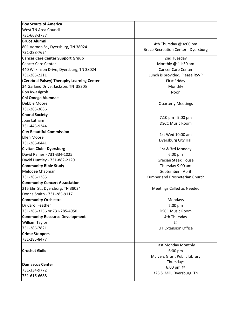| <b>Boy Scouts of America</b>               |                                            |
|--------------------------------------------|--------------------------------------------|
| <b>West TN Area Council</b>                |                                            |
| 731-668-3787                               |                                            |
| <b>Bruce Alumni</b>                        |                                            |
| 801 Vernon St., Dyersburg, TN 38024        | 4th Thursday @ 4:00 pm                     |
| 731-288-7624                               | <b>Bruce Recreation Center - Dyersburg</b> |
| <b>Cancer Care Center Support Group</b>    | 2nd Tuesday                                |
| <b>Cancer Care Center</b>                  | Monthly @ 11:30 am                         |
| 440 Wilkinson Drive, Dyersburg, TN 38024   | <b>Cancer Care Center</b>                  |
| 731-285-2211                               | Lunch is provided, Please RSVP             |
| (Cerebral Palsey) Theraphy Learning Center | <b>First Friday</b>                        |
| 34 Garland Drive, Jackson, TN 38305        | Monthly                                    |
| Ron Kwasigroh                              | Noon                                       |
| Chi Omega Alumnae                          |                                            |
| Debbie Moore                               | <b>Quarterly Meetings</b>                  |
| 731-285-3686                               |                                            |
| <b>Choral Society</b>                      |                                            |
| Joan Latham                                | 7:10 pm - 9:00 pm                          |
| 731-445-9344                               | <b>DSCC Music Room</b>                     |
| <b>City Beautiful Commission</b>           |                                            |
| Ellen Moore                                | 1st Wed 10:00 am                           |
| 731-286-0441                               | Dyersburg City Hall                        |
| <b>Civitan Club - Dyersburg</b>            | 1st & 3rd Monday                           |
| David Raines - 731-334-1025                | 6:00 pm                                    |
| David Huntley - 731-882-2120               | <b>Grecian Steak House</b>                 |
| <b>Community Bible Study</b>               | Thursday 9:00 am                           |
| Melodee Chapman                            | September - April                          |
| 731-286-1385                               | Cumberland Presbyterian Church             |
| <b>Community Concert Association</b>       |                                            |
| 215 Elm St., Dyersburg, TN 38024           | <b>Meetings Called as Needed</b>           |
| Donna Smith - 731-285-9117                 |                                            |
| <b>Community Orchestra</b>                 | Mondays                                    |
| Dr Carol Feather                           | 7:00 pm                                    |
| 731-286-3256 or 731-285-4950               | <b>DSCC Music Room</b>                     |
| <b>Community Resource Development</b>      | 4th Thursday                               |
| William Taylor                             | @                                          |
| 731-286-7821                               | <b>UT Extension Office</b>                 |
| <b>Crime Stoppers</b>                      |                                            |
| 731-285-8477                               |                                            |
|                                            | Last Monday Monthly                        |
| <b>Crochet Guild</b>                       | 6:00 pm                                    |
|                                            | <b>McIvers Grant Public Library</b>        |
| <b>Damascus Center</b>                     | Thursdays                                  |
| 731-334-9772                               | 6:00 pm $@$                                |
| 731-616-6688                               | 325 S. Mill, Dyersburg, TN                 |
|                                            |                                            |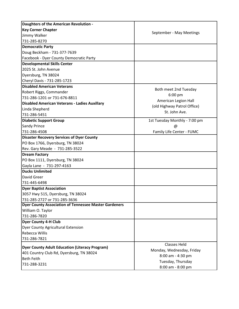| Daughters of the American Revolution -                       |                                              |
|--------------------------------------------------------------|----------------------------------------------|
| <b>Key Corner Chapter</b>                                    |                                              |
| Jimmy Walker                                                 | September - May Meetings                     |
| 731-285-8270                                                 |                                              |
| <b>Democratic Party</b>                                      |                                              |
| Doug Beckham - 731-377-7639                                  |                                              |
| Facebook - Dyer County Democratic Party                      |                                              |
| <b>Developmental Skills Center</b>                           |                                              |
| 2025 St. John Avenue                                         |                                              |
| Dyersburg, TN 38024                                          |                                              |
| Cheryl Davis - 731-285-1723                                  |                                              |
| <b>Disabled American Veterans</b>                            | Both meet 2nd Tuesday                        |
| Robert Riggs, Commander                                      |                                              |
| 731-286-1201 or 731-676-8811                                 | $6:00$ pm                                    |
| <b>Disabled American Veterans - Ladies Auxillary</b>         | American Legion Hall                         |
| Linda Shepherd                                               | (old Highway Patrol Office)<br>St. John Ave. |
| 731-286-5451                                                 |                                              |
| <b>Diabetic Support Group</b>                                | 1st Tuesday Monthly - 7:00 pm                |
| Sandy Prince                                                 | @                                            |
| 731-286-4508                                                 | Family Life Center - FUMC                    |
| <b>Disaster Recovery Services of Dyer County</b>             |                                              |
| PO Box 1766, Dyersburg, TN 38024                             |                                              |
| Rev. Gary Meade - 731-285-3522                               |                                              |
| <b>Dream Factory</b>                                         |                                              |
| PO Box 1111, Dyersburg, TN 38024                             |                                              |
| Gayla Lane - 731-297-4163                                    |                                              |
| <b>Ducks Unlimited</b>                                       |                                              |
| David Greer                                                  |                                              |
| 731-445-6498                                                 |                                              |
| <b>Dyer Baptist Association</b>                              |                                              |
| 3057 Hwy 515, Dyersburg, TN 38024                            |                                              |
| 731-285-2727 or 731-285-3636                                 |                                              |
| <b>Dyer County Association of Tennessee Master Gardeners</b> |                                              |
| William O. Taylor                                            |                                              |
| 731-286-7820                                                 |                                              |
| <b>Dyer County 4-H Club</b>                                  |                                              |
| <b>Dyer County Agricultural Extension</b>                    |                                              |
| Rebecca Willis                                               |                                              |
| 731-286-7821                                                 |                                              |
| <b>Dyer County Adult Education (Literacy Program)</b>        | Classes Held                                 |
| 401 Country Club Rd, Dyersburg, TN 38024                     | Monday, Wednesday, Friday                    |
| <b>Beth Feith</b>                                            | 8:00 am - 4:30 pm                            |
| 731-288-3231                                                 | Tuesday, Thursday                            |
|                                                              | 8:00 am - 8:00 pm                            |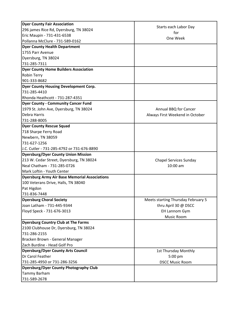| <b>Dyer County Fair Association</b>                  |                                    |
|------------------------------------------------------|------------------------------------|
| 296 james Rice Rd, Dyersburg, TN 38024               | Starts each Labor Day              |
| Eric Maupin - 731-431-6538                           | for<br>One Week                    |
| Pollanna McClure - 731-589-0162                      |                                    |
| <b>Dyer County Health Department</b>                 |                                    |
| 1755 Parr Avenue                                     |                                    |
| Dyersburg, TN 38024                                  |                                    |
| 731-285-7311                                         |                                    |
| <b>Dyer County Home Builders Association</b>         |                                    |
| <b>Robin Terry</b>                                   |                                    |
| 901-333-8682                                         |                                    |
| <b>Dyer County Housing Development Corp.</b>         |                                    |
| 731-285-4410                                         |                                    |
| Rhonda Heathcott - 731-287-4351                      |                                    |
| <b>Dyer County - Community Cancer Fund</b>           |                                    |
| 1979 St. John Ave, Dyersburg, TN 38024               | Annual BBQ for Cancer              |
| <b>Debra Harris</b>                                  | Always First Weekend in October    |
| 731-288-8005                                         |                                    |
| <b>Dyer County Rescue Squad</b>                      |                                    |
| 718 Sharpe Ferry Road                                |                                    |
| Newbern, TN 38059                                    |                                    |
| 731-627-1256                                         |                                    |
| J.C. Cutler - 731-285-4792 or 731-676-8890           |                                    |
| <b>Dyersburg/Dyer County Union Mission</b>           |                                    |
| 213 W. Cedar Street, Dyersburg, TN 38024             | <b>Chapel Services Sunday</b>      |
| Neal Chatham - 731-285-0726                          | $10:00$ am                         |
| Mark Loftin - Youth Center                           |                                    |
| <b>Dyersburg Army Air Base Memorial Associations</b> |                                    |
| 100 Veterans Drive, Halls, TN 38040                  |                                    |
| Pat Higdon                                           |                                    |
| 731-836-7448                                         |                                    |
| <b>Dyersburg Choral Society</b>                      | Meets starting Thursday February 5 |
| Joan Latham - 731-445-9344                           | thru April 30 @ DSCC               |
| Floyd Speck - 731-676-3013                           | <b>EH Lannom Gym</b>               |
|                                                      | Music Room                         |
| <b>Dyersburg Country Club at The Farms</b>           |                                    |
| 2100 Clubhouse Dr, Dyersburg, TN 38024               |                                    |
| 731-286-2155                                         |                                    |
| Bracken Brown - General Manager                      |                                    |
| Zach Burdine - Head Golf Pro                         |                                    |
| <b>Dyersburg/Dyer County Arts Council</b>            | 1st Thursday Monthly               |
| Dr Carol Feather                                     | 5:00 pm                            |
| 731-285-4950 or 731-286-3256                         | <b>DSCC Music Room</b>             |
| <b>Dyersburg/Dyer County Photography Club</b>        |                                    |
| Tammy Barham                                         |                                    |
| 731-589-2678                                         |                                    |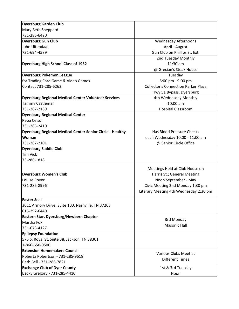| <b>Dyersburg Garden Club</b>                                     |                                            |
|------------------------------------------------------------------|--------------------------------------------|
| Mary Beth Sheppard                                               |                                            |
| 731-285-6420                                                     |                                            |
| <b>Dyersburg Gun Club</b>                                        | <b>Wednesday Afternoons</b>                |
| John Uitendaal                                                   | April - August                             |
| 731-694-4589                                                     | Gun Club on Phillips St. Ext.              |
|                                                                  | 2nd Tuesday Monthly                        |
| <b>Dyersburg High School Class of 1952</b>                       | 11:30 am                                   |
|                                                                  | @ Grecian's Steak House                    |
| <b>Dyersburg Pokemon League</b>                                  | Tuesday                                    |
| for Trading Card Game & Video Games                              | 5:00 pm - 9:00 pm                          |
| Contact 731-285-6262                                             | <b>Collector's Connection Parker Plaza</b> |
|                                                                  | Hwy 51 Bypass, Dyersburg                   |
| <b>Dyersburg Regional Medical Center Volunteer Services</b>      | 4th Wednesday Monthly                      |
| Tammy Castleman                                                  | $10:00$ am                                 |
| 731-287-2189                                                     | <b>Hospital Classroom</b>                  |
| <b>Dyersburg Regional Medical Center</b>                         |                                            |
| Reba Celsor                                                      |                                            |
| 731-285-2410                                                     |                                            |
| <b>Dyersburg Regional Medical Center Senior Circle - Healthy</b> | Has Blood Pressure Checks                  |
| Woman                                                            | each Wednesday 10:00 - 11:00 am            |
| 731-287-2101                                                     | @ Senior Circle Office                     |
| <b>Dyersburg Saddle Club</b>                                     |                                            |
| <b>Tim Vick</b>                                                  |                                            |
| 73-286-1818                                                      |                                            |
|                                                                  | Meetings Held at Club House on             |
| <b>Dyersburg Women's Club</b>                                    | Harris St.; General Meeting                |
| Louise Royer                                                     | Noon September - May                       |
| 731-285-8996                                                     | Civic Meeting 2nd Monday 1:30 pm           |
|                                                                  | Literary Meeting 4th Wednesday 2:30 pm     |
|                                                                  |                                            |
| <b>Easter Seal</b>                                               |                                            |
| 3011 Armory Drive, Suite 100, Nashville, TN 37203                |                                            |
| 615-292-6440                                                     |                                            |
| Eastern Star, Dyersburg/Newbern Chapter                          | 3rd Monday                                 |
| Martha Fox                                                       | <b>Masonic Hall</b>                        |
| 731-673-4127                                                     |                                            |
| <b>Epilepsy Foundation</b>                                       |                                            |
| 575 S. Royal St, Suite 38, Jackson, TN 38301                     |                                            |
| 1-866-650-0500                                                   |                                            |
| <b>Extension Homemakers Council</b>                              | Various Clubs Meet at                      |
| Roberta Robertson - 731-285-9618                                 | <b>Different Times</b>                     |
| Beth Bell - 731-286-7821                                         |                                            |
| <b>Exchange Club of Dyer County</b>                              | 1st & 3rd Tuesday                          |
| Becky Gregory - 731-285-4410                                     | Noon                                       |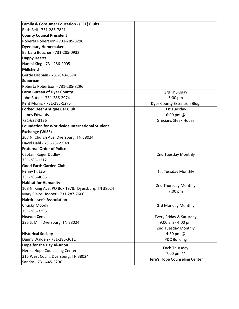| <b>Family &amp; Consumer Education - (FCE) Clubs</b>  |                                            |
|-------------------------------------------------------|--------------------------------------------|
| Beth Bell - 731-286-7821                              |                                            |
| <b>County Council President</b>                       |                                            |
| Roberta Robertson - 731-285-8296                      |                                            |
| <b>Dyersburg Homemakers</b>                           |                                            |
| Barbara Boucher - 731-285-0932                        |                                            |
| <b>Happy Hearts</b>                                   |                                            |
| Naomi King - 731-286-2005                             |                                            |
| <b>Millsfield</b>                                     |                                            |
| Gertie Despain - 731-643-6574                         |                                            |
| <b>Suburban</b>                                       |                                            |
| Roberta Robertson - 731-285-8296                      |                                            |
| <b>Farm Bureau of Dyer County</b>                     | 3rd Thursday                               |
| John Butler - 731-286-2974                            | 6:00 pm                                    |
| Kent Morris - 731-285-1275                            | Dyer County Extension Bldg.                |
| <b>Forked Deer Antique Car Club</b>                   | 1st Tuesday                                |
| James Edwards                                         | 6:00 pm $@$                                |
| 731-627-3126                                          | <b>Grecians Steak House</b>                |
| <b>Foundation for Worldwide International Student</b> |                                            |
| <b>Exchange (WISE)</b>                                |                                            |
| 207 N. Church Ave, Dyersburg, TN 38024                |                                            |
| David Dahl - 731-287-9948                             |                                            |
| <b>Fraternal Order of Police</b>                      |                                            |
| Captain Roger Dudley                                  | 2nd Tuesday Monthly                        |
| 731-285-1212                                          |                                            |
| <b>Good Earth Garden Club</b>                         |                                            |
| Penny H. Law                                          | 1st Tuesday Monthly                        |
| 731-286-4083                                          |                                            |
| <b>Habitat for Humanity</b>                           |                                            |
| 108 N. King Ave, PO Box 1978, Dyersburg, TN 38024     | 2nd Thursday Monthly                       |
| Mary Claire Hooper - 731-287-7600                     | 7:00 pm                                    |
| <b>Hairdresser's Association</b>                      |                                            |
| Chucky Moody                                          | 3rd Monday Monthly                         |
| 731-285-3395                                          |                                            |
| <b>Heaven Cent</b>                                    | Every Friday & Saturday                    |
| 325 S. Mill, Dyersburg, TN 38024                      | 9:00 am - 4:00 pm                          |
|                                                       | 2nd Tuesday Monthly                        |
| <b>Historical Society</b>                             | 4:30 pm @                                  |
| Danny Walden - 731-286-3611                           | <b>PDC Building</b>                        |
| <b>Hope for the Day Al-Anon</b>                       |                                            |
| Here's Hope Counseling Center                         | Each Thursday                              |
| 315 West Court, Dyersburg, TN 38024                   | 7:00 pm @<br>Here's Hope Counseling Center |
| Sandra - 731-445-3296                                 |                                            |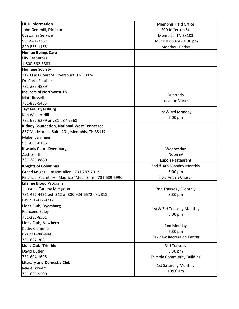| <b>HUD Information</b>                                  | Memphis Field Office                      |
|---------------------------------------------------------|-------------------------------------------|
| John Gemmill, Director                                  | 200 Jefferson St.                         |
| <b>Customer Service</b>                                 | Memphis, TN 38103                         |
| 901-544-3367                                            | Hours: 8:00 am - 4:30 pm                  |
| 800-855-1155                                            | Monday - Friday                           |
| <b>Human Beings Care</b>                                |                                           |
| <b>HIV Resources</b>                                    |                                           |
| 1-800-562-3383                                          |                                           |
| <b>Humane Society</b>                                   |                                           |
| 1120 East Court St, Dyersburg, TN 38024                 |                                           |
| Dr. Carol Feather                                       |                                           |
| 731-285-4889                                            |                                           |
| <b>Insurers of Northwest TN</b>                         |                                           |
| <b>Matt Russell</b>                                     | Quarterly                                 |
| 731-885-5453                                            | <b>Location Varies</b>                    |
| Jaycees, Dyersburg                                      |                                           |
| Kim Walker Hill                                         | 1st & 3rd Monday                          |
| 731-627-6279 or 731-287-9568                            | 7:00 pm                                   |
| Kidney Foundation, National-West Tennessee              |                                           |
| 857 Mt. Moriah, Suite 201, Memphis, TN 38117            |                                           |
| <b>Mabel Barringer</b>                                  |                                           |
| 901-683-6185                                            |                                           |
| Kiwanis Club - Dyersburg                                | Wednesday                                 |
| Zach Smith                                              | Noon @                                    |
| 731-285-8880                                            | Lupo's Restaurant                         |
| <b>Knights of Columbus</b>                              | 2nd & 4th Monday Monthly                  |
| Grand Knight - Jim McCallen - 731-297-7012              | 6:00 pm                                   |
| Financial Secretary - Maurice "Moe" Sims - 731-589-5990 | Holy Angels Church                        |
| <b>Lifeline Blood Program</b>                           |                                           |
| Jackson - Tammy M Higdon                                | 2nd Thursday Monthly                      |
| 731-427-4431 ext. 312 or 800-924-6572 ext. 312          | $3:30$ pm                                 |
| Fax 731-422-4712                                        |                                           |
| Lions Club, Dyersburg                                   | 1st & 3rd Tuesday Monthly                 |
| <b>Francene Epley</b>                                   |                                           |
| 731-285-8561                                            | 6:00 pm                                   |
| Lions Club, Newbern                                     |                                           |
| <b>Kathy Clements</b>                                   | 2nd Monday<br>6:30 pm                     |
| (w) 731-286-4445                                        | <b>Oakview Recreation Center</b>          |
| 731-627-3021                                            |                                           |
| Lions Club, Trimble                                     | 3rd Tuesday                               |
| David Butler                                            | 6:30 pm                                   |
| 731-694-1695                                            | <b>Trimble Community Building</b>         |
| <b>Literary and Domestic Club</b>                       |                                           |
| <b>Marie Bowers</b>                                     | <b>1st Saturday Monthly</b><br>$10:00$ am |
| 731-635-9590                                            |                                           |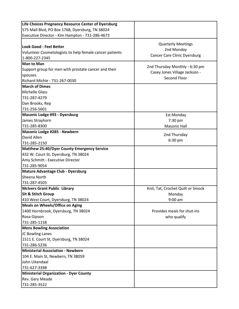| Life Choices Pregnancy Resource Center of Dyersburg     |                                     |
|---------------------------------------------------------|-------------------------------------|
| 575 Mall Blvd, PO Box 1768, Dyersburg, TN 38024         |                                     |
| Executive Director - Kim Hampton - 731-286-4673         |                                     |
|                                                         |                                     |
| Look Good - Feel Better                                 | <b>Quarterly Meetings</b>           |
| Volunteer Cosmetologists to help female cancer patients | 2nd Monday                          |
| 1-800-227-2345                                          | <b>Cancer Care Clinic Dyersburg</b> |
| <b>Man to Man</b>                                       |                                     |
| Support group for men with prostate cancer and their    | 2nd Thursday Monthly - 6:30 pm      |
| spouses.                                                | Casey Jones Village Jackson -       |
| Richard Michie - 731-267-0030                           | Second Floor                        |
| <b>March of Dimes</b>                                   |                                     |
| <b>Michelle Glass</b>                                   |                                     |
| 731-287-4279                                            |                                     |
| Dan Brooks, Rep                                         |                                     |
| 731-256-5601                                            |                                     |
| Masonic Lodge #93 - Dyersburg                           | 1st Monday                          |
| James Strayhorn                                         | 7:30 pm                             |
| 731-285-8300                                            | <b>Masonic Hall</b>                 |
| Masonic Lodge #285 - Newbern                            |                                     |
| David Allen                                             | 2nd Thursday                        |
| 731-285-2150                                            | 6:30 pm                             |
| Matthew 25:40/Dyer County Emergency Service             |                                     |
| 432 W. Court St, Dyersburg, TN 38024                    |                                     |
| Amy Schmitt - Executive Director                        |                                     |
| 731-285-9054                                            |                                     |
| <b>Mature Advantage Club - Dyersburg</b>                |                                     |
| Sheena North                                            |                                     |
| 731-287-4505                                            |                                     |
| <b>McIvers Grant Public Library</b>                     | Knit, Tat, Crochet Quilt or Smock   |
| <b>Sit &amp; Stitch Group</b>                           | Monday                              |
| 410 West Court, Dyersburg, TN 38024                     | $9:00$ am                           |
| <b>Meals on Wheels/Office on Aging</b>                  |                                     |
| 1400 Hornbrook, Dyersburg, TN 38024                     | Provides meals for shut-ins         |
| Rosa Gipson                                             | who qualify                         |
| 731-285-1158                                            |                                     |
| <b>Mens Bowling Association</b>                         |                                     |
| JC Bowling Lanes                                        |                                     |
| 1511 E. Court St, Dyersburg, TN 38024                   |                                     |
| 731-286-5236                                            |                                     |
| Ministerial Association - Newbern                       |                                     |
| 104 E. Main St, Newbern, TN 38059                       |                                     |
| John Uitendaal                                          |                                     |
| 731-627-3398                                            |                                     |
| <b>Ministerial Organization - Dyer County</b>           |                                     |
| Rev. Gary Meade                                         |                                     |
| 731-285-3522                                            |                                     |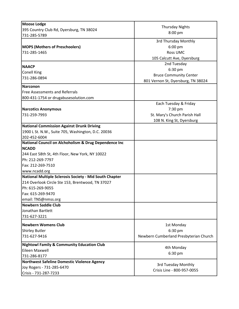| <b>Moose Lodge</b>                                                      |                                        |
|-------------------------------------------------------------------------|----------------------------------------|
| 395 Country Club Rd, Dyersburg, TN 38024                                | <b>Thursday Nights</b>                 |
| 731-285-5789                                                            | $8:00$ pm                              |
|                                                                         | 3rd Thursday Monthly                   |
| <b>MOPS (Mothers of Preschoolers)</b>                                   | $6:00$ pm                              |
| 731-285-1465                                                            | <b>Ross UMC</b>                        |
|                                                                         | 105 Calcutt Ave, Dyersburg             |
|                                                                         | 2nd Tuesday                            |
| <b>NAACP</b>                                                            | 6:30 pm                                |
| <b>Conell King</b>                                                      | <b>Bruce Community Center</b>          |
| 731-286-0894                                                            | 801 Vernon St, Dyersburg, TN 38024     |
| <b>Narconon</b>                                                         |                                        |
| <b>Free Assessments and Referrals</b>                                   |                                        |
| 800-431-1754 or drugabusesolution.com                                   |                                        |
|                                                                         | Each Tuesday & Friday                  |
| <b>Narcotics Anonymous</b>                                              | 7:30 pm                                |
| 731-259-7993                                                            | St. Mary's Church Parish Hall          |
|                                                                         | 108 N. King St, Dyersburg              |
| <b>National Commission Against Drunk Driving</b>                        |                                        |
| 1900 L St. N.W., Suite 705, Washington, D.C. 20036                      |                                        |
| 202-452-6004                                                            |                                        |
| National Council on Alchoholism & Drug Dependence Inc                   |                                        |
| <b>NCADD</b>                                                            |                                        |
| 244 East 58th St, 4th Floor, New York, NY 10022                         |                                        |
| Ph: 212-269-7797                                                        |                                        |
| Fax: 212-269-7510                                                       |                                        |
| www.ncadd.org                                                           |                                        |
| National Multiple Sclerosis Society - Mid South Chapter                 |                                        |
| 214 Overlook Circle Ste 153, Brentwood, TN 37027                        |                                        |
| Ph: 615-269-9055                                                        |                                        |
| Fax: 615-269-9470                                                       |                                        |
| email: TNS@nmss.org                                                     |                                        |
| <b>Newbern Saddle Club</b>                                              |                                        |
| Jonathan Bartlett                                                       |                                        |
| 731-627-3221                                                            |                                        |
| <b>Newbern Womens Club</b>                                              | 1st Monday                             |
| <b>Shirley Butler</b>                                                   | 6:30 pm                                |
| 731-627-9416                                                            | Newbern Cumberland Presbyterian Church |
|                                                                         |                                        |
| <b>Nightowl Family &amp; Community Education Club</b><br>Eileen Maxwell | 4th Monday                             |
| 731-286-8177                                                            | 6:30 pm                                |
| Northwest Safeline Domestic Violence Agency                             |                                        |
| Joy Rogers - 731-285-6470                                               | 3rd Tuesday Monthly                    |
|                                                                         | Crisis Line - 800-957-0055             |
| Crisis - 731-287-7233                                                   |                                        |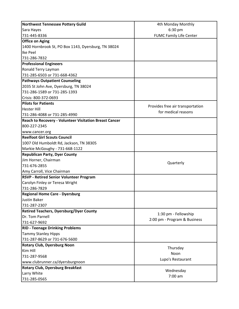| Northwest Tennessee Pottery Guild                             | 4th Monday Monthly               |
|---------------------------------------------------------------|----------------------------------|
| Sara Hayes                                                    | 6:30 pm                          |
| 731-445-8336                                                  | <b>FUMC Family Life Center</b>   |
| <b>Office on Aging</b>                                        |                                  |
| 1400 Hornbrook St, PO Box 1143, Dyersburg, TN 38024           |                                  |
| Ike Peel                                                      |                                  |
| 731-286-7832                                                  |                                  |
| <b>Professional Engineers</b>                                 |                                  |
| Ronald Terry Layman                                           |                                  |
| 731-285-6503 or 731-668-4362                                  |                                  |
| <b>Pathways Outpatient Counseling</b>                         |                                  |
| 2035 St John Ave, Dyersburg, TN 38024                         |                                  |
| 731-286-1589 or 731-285-1393                                  |                                  |
| Crisis: 800-372-0693                                          |                                  |
| <b>Pilots for Patients</b>                                    |                                  |
| <b>Hester Hill</b>                                            | Provides free air transportation |
| 731-286-4088 or 731-285-4990                                  | for medical reasons              |
| <b>Reach to Recovery - Volunteer Visitation Breast Cancer</b> |                                  |
| 800-227-2345                                                  |                                  |
| www.cancer.org                                                |                                  |
| <b>Reelfoot Girl Scouts Council</b>                           |                                  |
| 1007 Old Humboldt Rd, Jackson, TN 38305                       |                                  |
| Markie McGoughy - 731-668-1122                                |                                  |
| <b>Republican Party, Dyer County</b>                          |                                  |
| Jim Horner, Chairman                                          |                                  |
| 731-676-2855                                                  | Quarterly                        |
| Amy Carroll, Vice Chairman                                    |                                  |
| <b>RSVP - Retired Senior Volunteer Program</b>                |                                  |
| Carolyn Finley or Teresa Wright                               |                                  |
| 731-286-7829                                                  |                                  |
| <b>Regional Home Care - Dyersburg</b>                         |                                  |
| <b>Justin Baker</b>                                           |                                  |
| 731-287-2307                                                  |                                  |
| <b>Retired Teachers, Dyersburg/Dyer County</b>                |                                  |
| Dr. Tom Parnell                                               | 1:30 pm - Fellowship             |
| 731-627-9692                                                  | 2:00 pm - Program & Business     |
| <b>RID - Teenage Drinking Problems</b>                        |                                  |
| <b>Tammy Stanley Hipps</b>                                    |                                  |
| 731-287-8629 or 731-676-5600                                  |                                  |
| <b>Rotary Club, Dyersburg Noon</b>                            |                                  |
| Kim Hill                                                      | Thursday                         |
| 731-287-9568                                                  | Noon                             |
| www.clubrunner.ca/dyersburgnoon                               | Lupo's Restaurant                |
| <b>Rotary Club, Dyersburg Breakfast</b>                       |                                  |
| Larry White                                                   | Wednesday                        |
| 731-285-0565                                                  | $7:00$ am                        |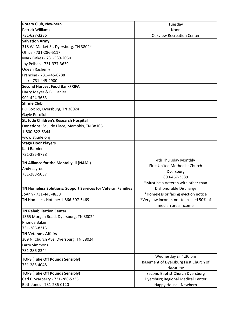| <b>Rotary Club, Newbern</b>                                  | Tuesday                                           |
|--------------------------------------------------------------|---------------------------------------------------|
| <b>Patrick Williams</b>                                      | Noon                                              |
| 731-627-3236                                                 | <b>Oakview Recreation Center</b>                  |
| <b>Salvation Army</b>                                        |                                                   |
| 318 W. Market St, Dyersburg, TN 38024                        |                                                   |
| Office - 731-286-5117                                        |                                                   |
| Mark Oakes - 731-589-2050                                    |                                                   |
| Joy Pelhan - 731-377-3639                                    |                                                   |
| <b>Odean Rasberry</b>                                        |                                                   |
| Francine - 731-445-8788                                      |                                                   |
| Jack - 731-445-2900                                          |                                                   |
| <b>Second Harvest Food Bank/RIFA</b>                         |                                                   |
| Harry Meyer & Bill Lanier                                    |                                                   |
| 901-424-3663                                                 |                                                   |
| <b>Shrine Club</b>                                           |                                                   |
| PO Box 69, Dyersburg, TN 38024                               |                                                   |
| Gayle Perciful                                               |                                                   |
| St. Jude Children's Research Hospital                        |                                                   |
| Donations: St Jude Place, Memphis, TN 38105                  |                                                   |
| 1-800-822-6344                                               |                                                   |
| www.stjude.org                                               |                                                   |
| <b>Stage Door Players</b>                                    |                                                   |
| Kari Barnier                                                 |                                                   |
| 731-285-9728                                                 |                                                   |
| TN Alliance for the Mentally III (NAMI)                      | 4th Thursday Monthly                              |
| Andy Jayroe                                                  | First United Methodist Church                     |
| 731-288-5087                                                 | Dyersburg                                         |
|                                                              | 800-467-3589                                      |
|                                                              | *Must be a Veteran with other than                |
| TN Homeless Solutions: Support Services for Veteran Families | Dishonorable Discharge                            |
| JoAnn - 731-445-4850                                         | *Homeless or facing eviction notice               |
| TN Homeless Hotline: 1-866-307-5469                          | *Very low income, not to exceed 50% of            |
|                                                              | median area income                                |
| <b>TN Rehabilitation Center</b>                              |                                                   |
| 1365 Morgan Road, Dyersburg, TN 38024                        |                                                   |
| Rhonda Baker                                                 |                                                   |
| 731-286-8315                                                 |                                                   |
| <b>TN Veterans Affairs</b>                                   |                                                   |
| 309 N. Church Ave, Dyersburg, TN 38024                       |                                                   |
| <b>Larry Simmons</b>                                         |                                                   |
| 731-286-8344                                                 |                                                   |
| <b>TOPS (Take Off Pounds Sensibly)</b>                       | Wednesday @ 4:30 pm                               |
| 731-285-4048                                                 | Basement of Dyersburg First Church of<br>Nazarene |
| <b>TOPS (Take Off Pounds Sensibly)</b>                       | Second Baptist Church Dyersburg                   |
| Carl F. Scarberry - 731-286-5335                             |                                                   |
| Beth Jones - 731-286-0120                                    | <b>Dyersburg Regional Medical Center</b>          |
|                                                              | Happy House - Newbern                             |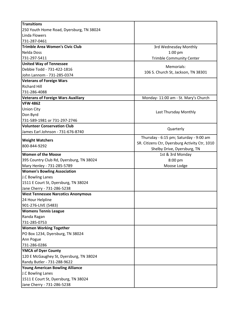| <b>Transitions</b>                        |                                                |
|-------------------------------------------|------------------------------------------------|
| 250 Youth Home Road, Dyersburg, TN 38024  |                                                |
| Linda Flowers                             |                                                |
| 731-287-0461                              |                                                |
| <b>Trimble Area Women's Civic Club</b>    | 3rd Wednesday Monthly                          |
| <b>Nelda Doss</b>                         | $1:00$ pm                                      |
| 731-297-5411                              | <b>Trimble Community Center</b>                |
| <b>United Way of Tennessee</b>            |                                                |
| Debbie Todd - 731-422-1816                | Memorials:                                     |
| John Lannom - 731-285-0374                | 106 S. Church St, Jackson, TN 38301            |
| <b>Veterans of Foreign Wars</b>           |                                                |
| <b>Richard Hill</b>                       |                                                |
| 731-286-4088                              |                                                |
| <b>Veterans of Foreign Wars Auxiliary</b> | Monday- 11:00 am - St. Mary's Church           |
| <b>VFW 4862</b>                           |                                                |
| <b>Union City</b>                         |                                                |
| Don Byrd                                  | Last Thursday Monthly                          |
| 731-589-1981 or 731-297-2746              |                                                |
| <b>Volunteer Conservation Club</b>        |                                                |
| James Earl Johnson - 731-676-8740         | Quarterly                                      |
|                                           | Thursday - 6:15 pm; Saturday - 9:00 am         |
| <b>Weight Watchers</b>                    | SR. Citizens Ctr, Dyersburg Activity Ctr, 1010 |
| 800-844-9292                              | Shelby Drive, Dyersburg, TN                    |
| <b>Women of the Moose</b>                 | 1st & 3rd Monday                               |
| 395 Country Club Rd, Dyersburg, TN 38024  | 8:00 pm                                        |
| Mary Henley - 731-285-5789                | Moose Lodge                                    |
| <b>Women's Bowling Association</b>        |                                                |
| J.C Bowling Lanes                         |                                                |
| 1511 E Court St, Dyersburg, TN 38024      |                                                |
| Jane Cherry - 731-286-5238                |                                                |
| <b>West Tennessee Narcotics Anonymous</b> |                                                |
| 24 Hour Helpline                          |                                                |
| 901-276-LIVE (5483)                       |                                                |
| <b>Womens Tennis League</b>               |                                                |
| Randa Ragan                               |                                                |
| 731-285-0753                              |                                                |
| <b>Women Working Together</b>             |                                                |
| PO Box 1234, Dyersburg, TN 38024          |                                                |
| Ann Pogue                                 |                                                |
| 731-286-0286                              |                                                |
| <b>YMCA of Dyer County</b>                |                                                |
| 120 E McGaughey St, Dyersburg, TN 38024   |                                                |
| Randy Butler - 731-288-9622               |                                                |
| <b>Young American Bowling Alliance</b>    |                                                |
| J.C Bowling Lanes                         |                                                |
| 1511 E Court St, Dyersburg, TN 38024      |                                                |
| Jane Cherry - 731-286-5238                |                                                |